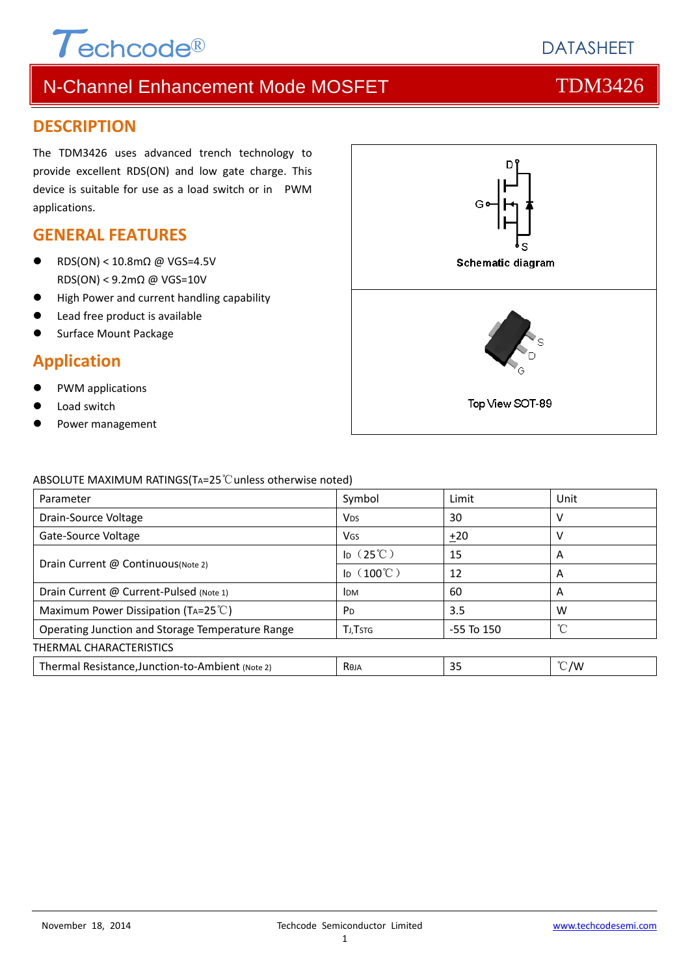

### **DESCRIPTION**

The TDM3426 uses advanced trench technology to provide excellent RDS(ON) and low gate charge. This device is suitable for use as a load switch or in PWM applications.

### **GENERAL FEATURES**

- RDS(ON) < 10.8mΩ @ VGS=4.5V RDS(ON) < 9.2mΩ @ VGS=10V
- High Power and current handling capability
- Lead free product is available
- Surface Mount Package

### **Application**

- PWM applications
- Load switch
- Power management



#### ABSOLUTE MAXIMUM RATINGS(TA=25℃unless otherwise noted)

| Parameter                                        | Symbol                     | Limit          | Unit          |  |  |  |
|--------------------------------------------------|----------------------------|----------------|---------------|--|--|--|
| Drain-Source Voltage                             | <b>V<sub>DS</sub></b>      | 30             | v             |  |  |  |
| Gate-Source Voltage                              | VGS                        | ±20            | V             |  |  |  |
|                                                  | Ip $(25^{\circ}\text{C})$  | 15             | A             |  |  |  |
| Drain Current @ Continuous(Note 2)               | ID $(100^{\circ}\text{C})$ | 12             | A             |  |  |  |
| Drain Current @ Current-Pulsed (Note 1)          | <b>IDM</b>                 | 60             | A             |  |  |  |
| Maximum Power Dissipation (TA=25 $^{\circ}$ C)   | P <sub>D</sub>             | 3.5            | w             |  |  |  |
| Operating Junction and Storage Temperature Range | <b>TJ.TSTG</b>             | $-55$ To $150$ | °C            |  |  |  |
| THERMAL CHARACTERISTICS                          |                            |                |               |  |  |  |
| Thermal Resistance, Junction-to-Ambient (Note 2) | Reja                       | 35             | $\degree$ C/W |  |  |  |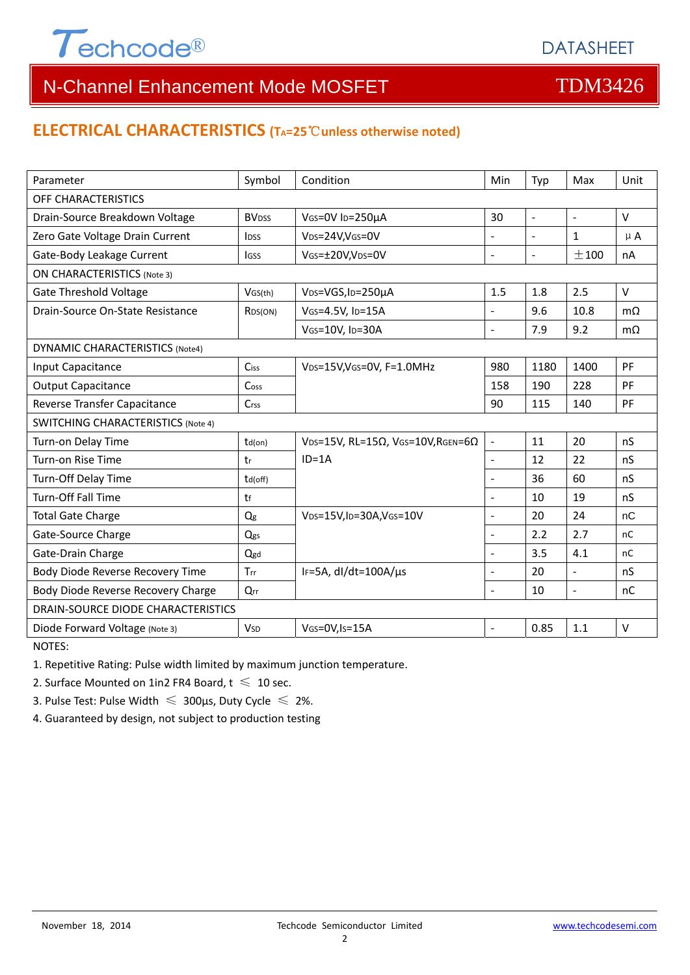

### **ELECTRICAL CHARACTERISTICS (TA=25**℃**unless otherwise noted)**

| Parameter                                 | Symbol                  | Condition                                                     | Min            | Typ                      | Max                      | Unit      |  |  |
|-------------------------------------------|-------------------------|---------------------------------------------------------------|----------------|--------------------------|--------------------------|-----------|--|--|
| OFF CHARACTERISTICS                       |                         |                                                               |                |                          |                          |           |  |  |
| Drain-Source Breakdown Voltage            | <b>BV<sub>DSS</sub></b> | VGS=0V ID=250µA                                               | 30             | $\overline{\phantom{a}}$ | $\sim$                   | $\vee$    |  |  |
| Zero Gate Voltage Drain Current           | <b>IDSS</b>             | V <sub>DS</sub> =24V,V <sub>GS</sub> =0V                      |                |                          | $\mathbf 1$              | $\mu$ A   |  |  |
| Gate-Body Leakage Current                 | lgss                    | VGS=±20V,VDS=0V                                               | $\overline{a}$ | $\sim$                   | ±100                     | nA        |  |  |
| <b>ON CHARACTERISTICS (Note 3)</b>        |                         |                                                               |                |                          |                          |           |  |  |
| <b>Gate Threshold Voltage</b>             | VGS(th)                 | VDS=VGS, ID=250µA                                             | 1.5            | 1.8                      | 2.5                      | $\vee$    |  |  |
| Drain-Source On-State Resistance          | R <sub>DS</sub> (ON)    | VGS=4.5V, ID=15A                                              | $\overline{a}$ | 9.6                      | 10.8                     | $m\Omega$ |  |  |
|                                           |                         | VGS=10V, ID=30A                                               | $\overline{a}$ | 7.9                      | 9.2                      | $m\Omega$ |  |  |
| <b>DYNAMIC CHARACTERISTICS (Note4)</b>    |                         |                                                               |                |                          |                          |           |  |  |
| Input Capacitance                         | Ciss                    | VDS=15V, VGS=0V, F=1.0MHz                                     | 980            | 1180                     | 1400                     | PF        |  |  |
| <b>Output Capacitance</b>                 | Coss                    |                                                               | 158            | 190                      | 228                      | PF        |  |  |
| Reverse Transfer Capacitance              | Crss                    |                                                               | 90             | 115                      | 140                      | PF        |  |  |
| <b>SWITCHING CHARACTERISTICS (Note 4)</b> |                         |                                                               |                |                          |                          |           |  |  |
| Turn-on Delay Time                        | td(on)                  | VDS=15V, RL=15 $\Omega$ , VGS=10V, RGEN=6 $\Omega$            | $\blacksquare$ | 11                       | 20                       | nS        |  |  |
| Turn-on Rise Time                         | tr                      | $ID = 1A$                                                     | $\blacksquare$ | 12                       | 22                       | nS        |  |  |
| Turn-Off Delay Time                       | td(off)                 |                                                               | $\overline{a}$ | 36                       | 60                       | nS        |  |  |
| <b>Turn-Off Fall Time</b>                 | tf                      |                                                               | $\overline{a}$ | 10                       | 19                       | nS        |  |  |
| <b>Total Gate Charge</b>                  | Q <sub>g</sub>          | V <sub>DS</sub> =15V,I <sub>D</sub> =30A,V <sub>GS</sub> =10V | $\blacksquare$ | 20                       | 24                       | nC        |  |  |
| Gate-Source Charge                        | Qgs                     |                                                               | $\overline{a}$ | 2.2                      | 2.7                      | nC        |  |  |
| Gate-Drain Charge                         | Qgd                     |                                                               | $\blacksquare$ | 3.5                      | 4.1                      | nC        |  |  |
| Body Diode Reverse Recovery Time          | Trr                     | IF=5A, dl/dt=100A/µs                                          | $\overline{a}$ | 20                       | $\overline{a}$           | nS        |  |  |
| Body Diode Reverse Recovery Charge        | Qrr                     |                                                               | $\overline{a}$ | 10                       | $\overline{\phantom{a}}$ | nC        |  |  |
| DRAIN-SOURCE DIODE CHARACTERISTICS        |                         |                                                               |                |                          |                          |           |  |  |
| Diode Forward Voltage (Note 3)            | <b>V<sub>SD</sub></b>   | VGS=0V,Is=15A                                                 | $\overline{a}$ | 0.85                     | 1.1                      | $\vee$    |  |  |
| NOTES:                                    |                         |                                                               |                |                          |                          |           |  |  |

1. Repetitive Rating: Pulse width limited by maximum junction temperature.

2. Surface Mounted on 1in2 FR4 Board,  $t \leq 10$  sec.

3. Pulse Test: Pulse Width  $\leq 300$ μs, Duty Cycle  $\leq 2\%$ .

4. Guaranteed by design, not subject to production testing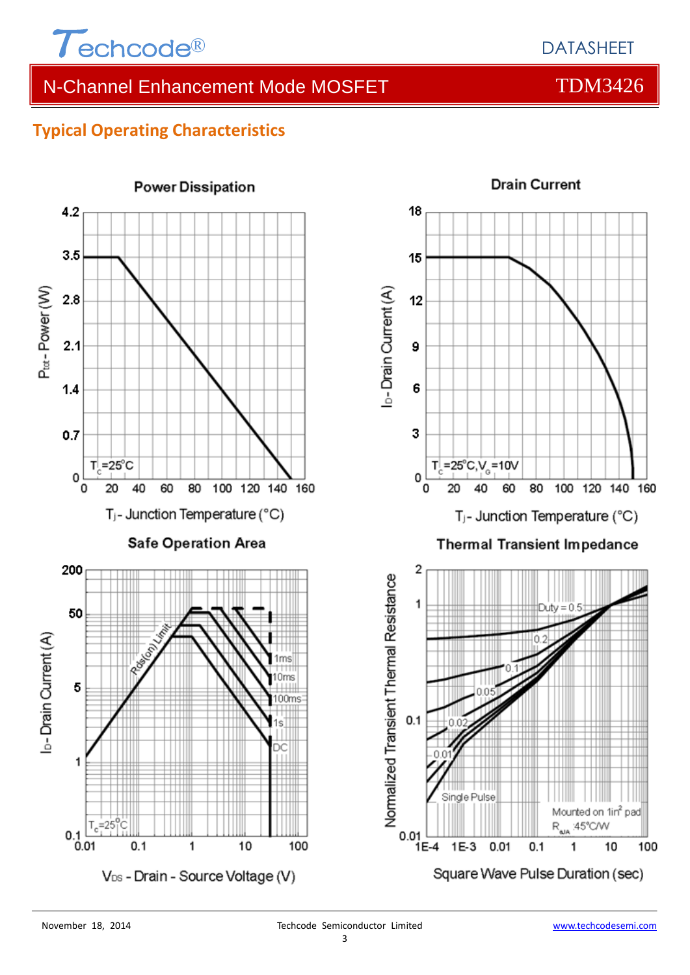

## **Typical Operating Characteristics**

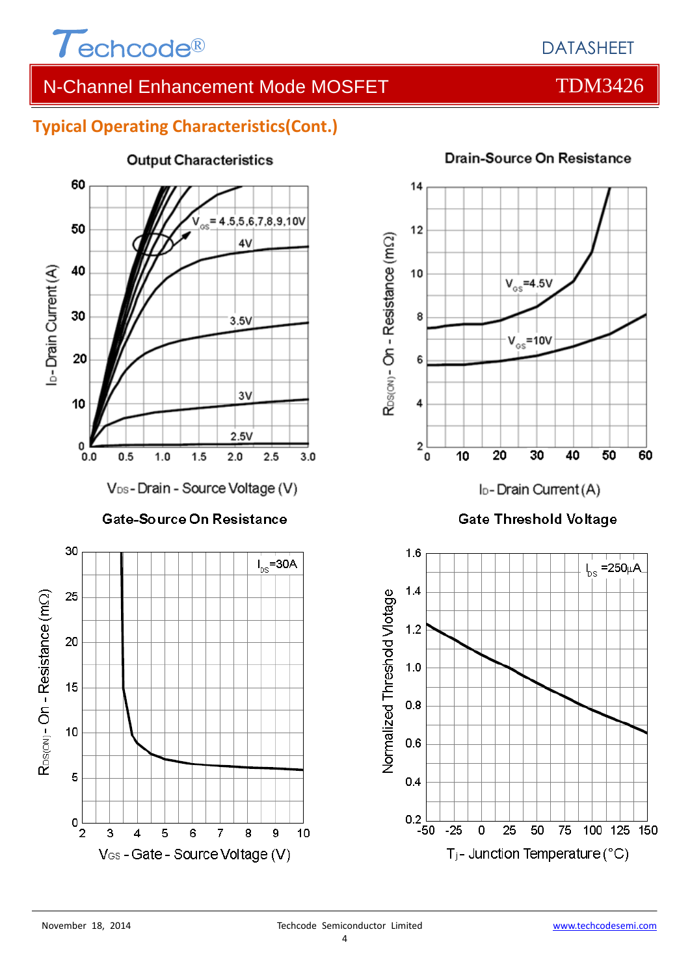

## **Typical Operating Characteristics(Cont.)**



**Output Characteristics** 



#### **Drain-Source On Resistance**



### **Gate Threshold Voltage**

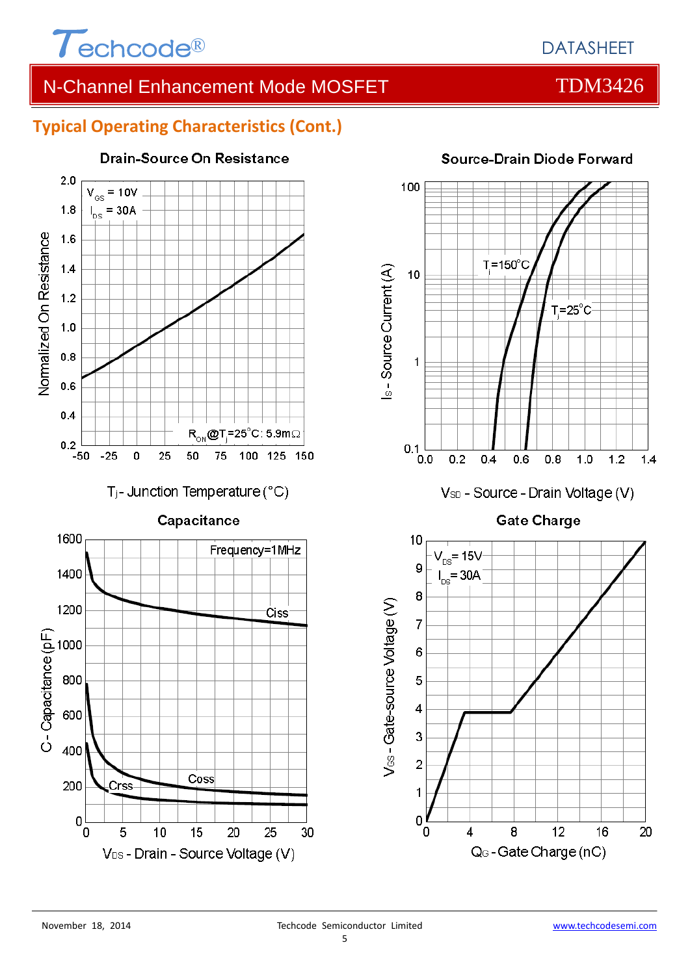

## **Typical Operating Characteristics (Cont.)**



## **Drain-Source On Resistance**



### **Source-Drain Diode Forward**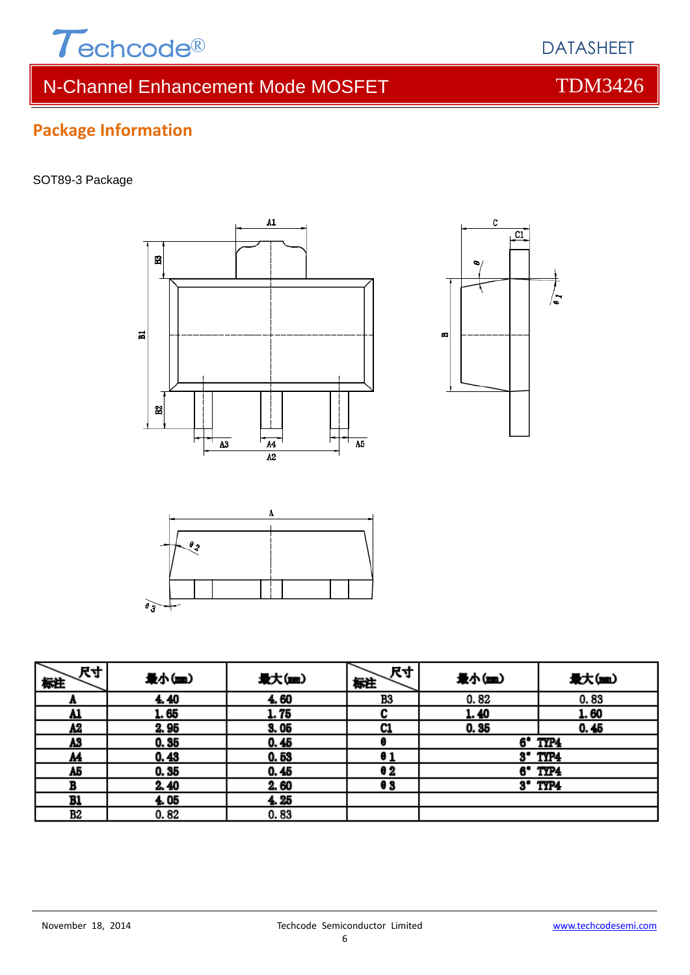

#### SOT89-3 Package







| 尺寸<br>标注  | 最小(mm) | 最大(mm) | 尺寸<br>标注 | 最小(mm) | 最大(m)            |
|-----------|--------|--------|----------|--------|------------------|
|           | 4.40   | 4.60   | B3       | 0.82   | 0.83             |
| <u>A1</u> | 1.65   | 1.75   |          | 1.40   | 1.60             |
| Λ2        | 2.95   | 3.05   | C1       | 0.35   | 0.45             |
| A3        | 0.35   | 0.45   |          |        | 6° TYP4          |
| <u>M</u>  | 0.43   | 0.53   | θ1       |        | $3°$ TYP4        |
| A5        | 0.35   | 0.45   | θ2       | 6°     | TYP4             |
|           | 2.40   | 2.60   | e 3      |        | $3^{\circ}$ TYP4 |
| <u>B1</u> | 4.05   | 4.25   |          |        |                  |
| В2        | 0.82   | 0.83   |          |        |                  |